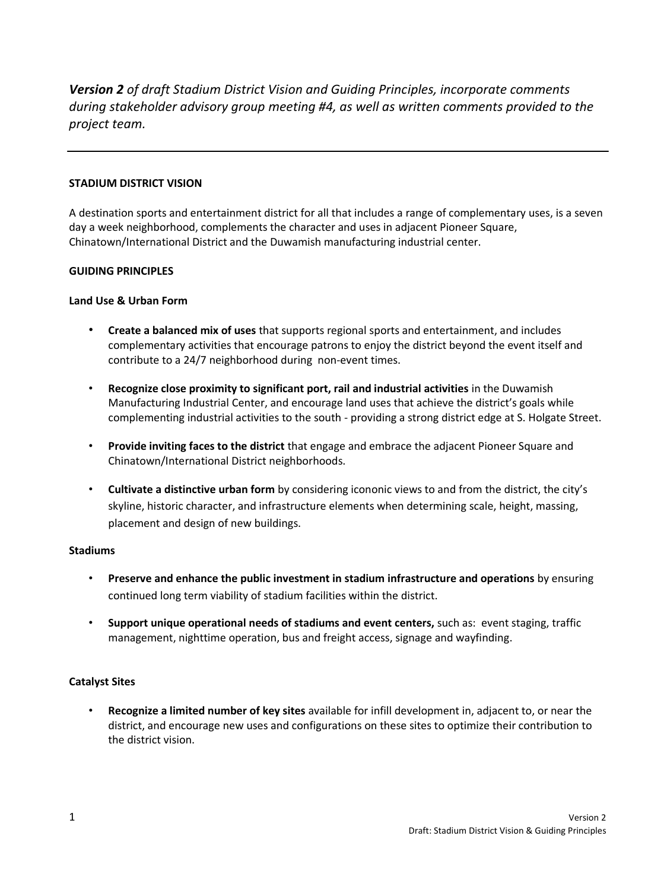*Version 2 of draft Stadium District Vision and Guiding Principles, incorporate comments during stakeholder advisory group meeting #4, as well as written comments provided to the project team.* 

### **STADIUM DISTRICT VISION**

A destination sports and entertainment district for all that includes a range of complementary uses, is a seven day a week neighborhood, complements the character and uses in adjacent Pioneer Square, Chinatown/International District and the Duwamish manufacturing industrial center.

# **GUIDING PRINCIPLES**

# **Land Use & Urban Form**

- **Create a balanced mix of uses** that supports regional sports and entertainment, and includes complementary activities that encourage patrons to enjoy the district beyond the event itself and contribute to a 24/7 neighborhood during non-event times.
- **Recognize close proximity to significant port, rail and industrial activities** in the Duwamish Manufacturing Industrial Center, and encourage land uses that achieve the district's goals while complementing industrial activities to the south - providing a strong district edge at S. Holgate Street.
- **Provide inviting faces to the district** that engage and embrace the adjacent Pioneer Square and Chinatown/International District neighborhoods.
- **Cultivate a distinctive urban form** by considering icononic views to and from the district, the city's skyline, historic character, and infrastructure elements when determining scale, height, massing, placement and design of new buildings.

### **Stadiums**

- **Preserve and enhance the public investment in stadium infrastructure and operations** by ensuring continued long term viability of stadium facilities within the district.
- **Support unique operational needs of stadiums and event centers,** such as: event staging, traffic management, nighttime operation, bus and freight access, signage and wayfinding.

### **Catalyst Sites**

• **Recognize a limited number of key sites** available for infill development in, adjacent to, or near the district, and encourage new uses and configurations on these sites to optimize their contribution to the district vision.